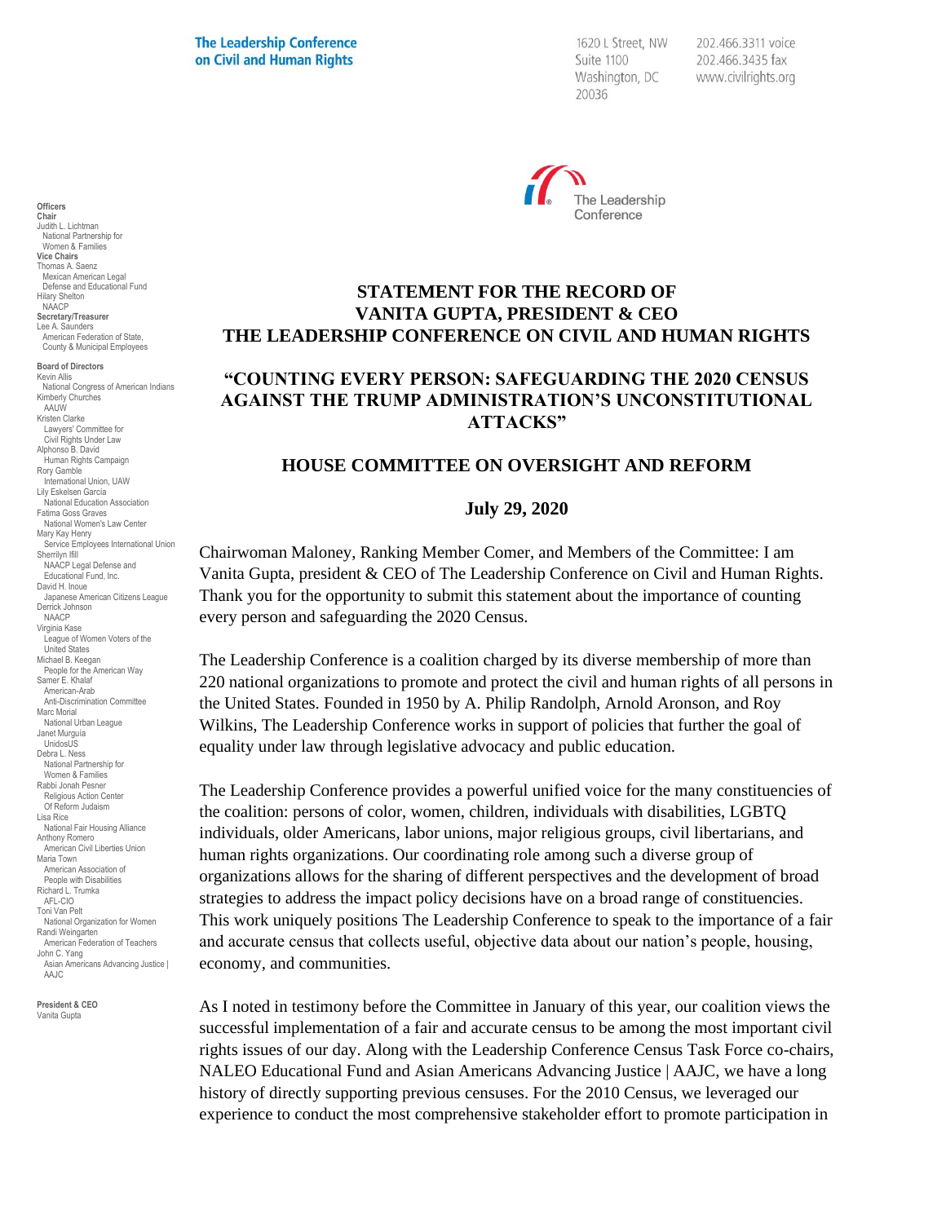1620 L Street, NW Suite 1100 Washington, DC 20036

202.466.3311 voice 202.466.3435 fax www.civilrights.org



# **STATEMENT FOR THE RECORD OF VANITA GUPTA, PRESIDENT & CEO THE LEADERSHIP CONFERENCE ON CIVIL AND HUMAN RIGHTS**

# **"COUNTING EVERY PERSON: SAFEGUARDING THE 2020 CENSUS AGAINST THE TRUMP ADMINISTRATION'S UNCONSTITUTIONAL ATTACKS"**

#### **HOUSE COMMITTEE ON OVERSIGHT AND REFORM**

#### **July 29, 2020**

Chairwoman Maloney, Ranking Member Comer, and Members of the Committee: I am Vanita Gupta, president & CEO of The Leadership Conference on Civil and Human Rights. Thank you for the opportunity to submit this statement about the importance of counting every person and safeguarding the 2020 Census.

The Leadership Conference is a coalition charged by its diverse membership of more than 220 national organizations to promote and protect the civil and human rights of all persons in the United States. Founded in 1950 by A. Philip Randolph, Arnold Aronson, and Roy Wilkins, The Leadership Conference works in support of policies that further the goal of equality under law through legislative advocacy and public education.

The Leadership Conference provides a powerful unified voice for the many constituencies of the coalition: persons of color, women, children, individuals with disabilities, LGBTQ individuals, older Americans, labor unions, major religious groups, civil libertarians, and human rights organizations. Our coordinating role among such a diverse group of organizations allows for the sharing of different perspectives and the development of broad strategies to address the impact policy decisions have on a broad range of constituencies. This work uniquely positions The Leadership Conference to speak to the importance of a fair and accurate census that collects useful, objective data about our nation's people, housing, economy, and communities.

As I noted in testimony before the Committee in January of this year, our coalition views the successful implementation of a fair and accurate census to be among the most important civil rights issues of our day. Along with the Leadership Conference Census Task Force co-chairs, NALEO Educational Fund and Asian Americans Advancing Justice | AAJC, we have a long history of directly supporting previous censuses. For the 2010 Census, we leveraged our experience to conduct the most comprehensive stakeholder effort to promote participation in

**Chair** Judith L. Lichtman National Partnership for Women & Families **Vice Chairs** Thomas A. Saenz Mexican American Legal Defense and Educational Fund Hilary Shelton NAACP **Secretary/Treasurer** Lee A. Saunders American Federation of State, County & Municipal Employees **Board of Directors** Kevin Allis National Congress of American Indians Kimberly Churches AAUW Kristen Clarke Lawyers' Committee for Civil Rights Under Law Alphonso B. David Human Rights Campaign Rory Gamble International Union, UAW Lily Eskelsen García National Education Association Fatima Goss Graves National Women's Law Center Mary Kay Henry Service Employees International Union Sherrilyn Ifill NAACP Legal Defense and Educational Fund, Inc. David H. Inoue Japanese American Citizens League Derrick Johnson NAACP

**Officers**

Virginia Kase League of Women Voters of the United States Michael B. Keegan People for the American Way Samer E. Khalaf American-Arab Anti-Discrimination Committee Marc Morial National Urban League Janet Murguía UnidosUS Debra L. Ness National Partnership for Women & Families Rabbi Jonah Pesner Religious Action Center Of Reform Judaism Lisa Rice National Fair Housing Alliance Anthony Romero American Civil Liberties Union Maria Town American Association of People with Disabilities Richard L. Trumka AFL-CIO Toni Van Pelt National Organization for Women Randi Weingarten American Federation of Teachers John C. Yang Asian Americans Advancing Justice I AAJC

**President & CEO** Vanita Gupta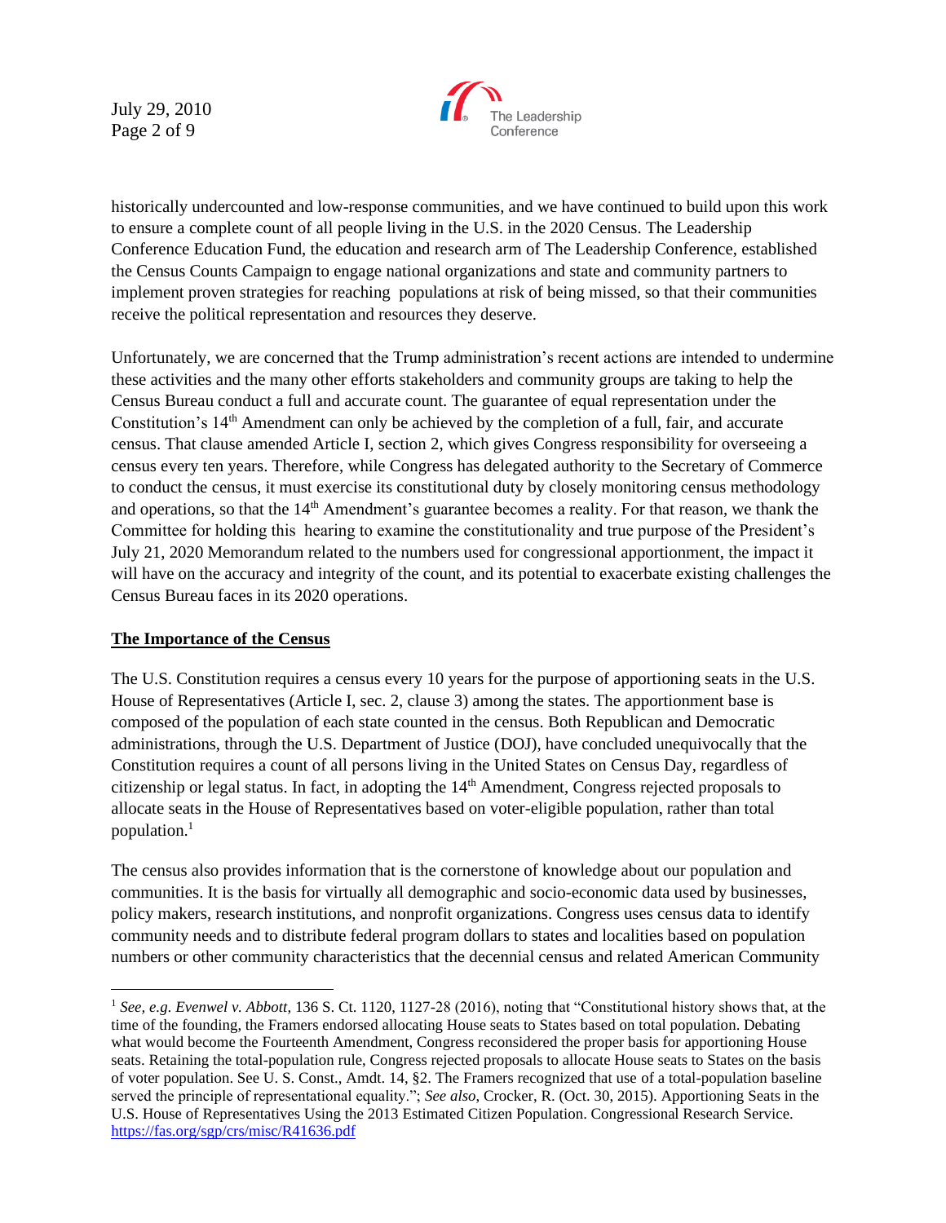July 29, 2010 Page 2 of 9



historically undercounted and low-response communities, and we have continued to build upon this work to ensure a complete count of all people living in the U.S. in the 2020 Census. The Leadership Conference Education Fund, the education and research arm of The Leadership Conference, established the Census Counts Campaign to engage national organizations and state and community partners to implement proven strategies for reaching populations at risk of being missed, so that their communities receive the political representation and resources they deserve.

Unfortunately, we are concerned that the Trump administration's recent actions are intended to undermine these activities and the many other efforts stakeholders and community groups are taking to help the Census Bureau conduct a full and accurate count. The guarantee of equal representation under the Constitution's 14th Amendment can only be achieved by the completion of a full, fair, and accurate census. That clause amended Article I, section 2, which gives Congress responsibility for overseeing a census every ten years. Therefore, while Congress has delegated authority to the Secretary of Commerce to conduct the census, it must exercise its constitutional duty by closely monitoring census methodology and operations, so that the 14<sup>th</sup> Amendment's guarantee becomes a reality. For that reason, we thank the Committee for holding this hearing to examine the constitutionality and true purpose of the President's July 21, 2020 Memorandum related to the numbers used for congressional apportionment, the impact it will have on the accuracy and integrity of the count, and its potential to exacerbate existing challenges the Census Bureau faces in its 2020 operations.

#### **The Importance of the Census**

The U.S. Constitution requires a census every 10 years for the purpose of apportioning seats in the U.S. House of Representatives (Article I, sec. 2, clause 3) among the states. The apportionment base is composed of the population of each state counted in the census. Both Republican and Democratic administrations, through the U.S. Department of Justice (DOJ), have concluded unequivocally that the Constitution requires a count of all persons living in the United States on Census Day, regardless of citizenship or legal status. In fact, in adopting the 14<sup>th</sup> Amendment, Congress rejected proposals to allocate seats in the House of Representatives based on voter-eligible population, rather than total population.<sup>1</sup>

The census also provides information that is the cornerstone of knowledge about our population and communities. It is the basis for virtually all demographic and socio-economic data used by businesses, policy makers, research institutions, and nonprofit organizations. Congress uses census data to identify community needs and to distribute federal program dollars to states and localities based on population numbers or other community characteristics that the decennial census and related American Community

<sup>1</sup> *See, e.g*. *Evenwel v. Abbott*, 136 S. Ct. 1120, 1127-28 (2016), noting that "Constitutional history shows that, at the time of the founding, the Framers endorsed allocating House seats to States based on total population. Debating what would become the Fourteenth Amendment, Congress reconsidered the proper basis for apportioning House seats. Retaining the total-population rule, Congress rejected proposals to allocate House seats to States on the basis of voter population. See U. S. Const., Amdt. 14, §2. The Framers recognized that use of a total-population baseline served the principle of representational equality."; *See also*, Crocker, R. (Oct. 30, 2015). Apportioning Seats in the U.S. House of Representatives Using the 2013 Estimated Citizen Population. Congressional Research Service. <https://fas.org/sgp/crs/misc/R41636.pdf>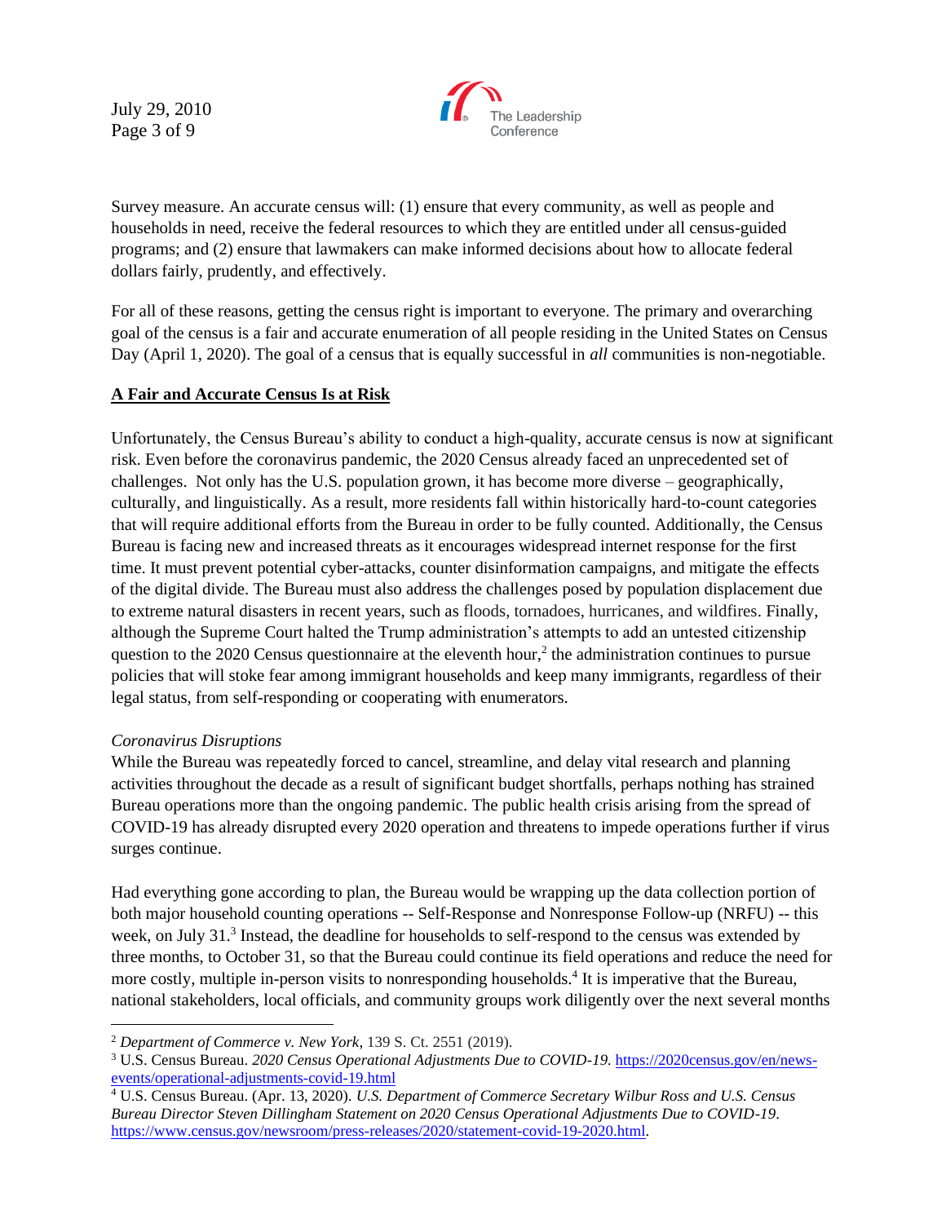July 29, 2010 Page 3 of 9



Survey measure. An accurate census will: (1) ensure that every community, as well as people and households in need, receive the federal resources to which they are entitled under all census-guided programs; and (2) ensure that lawmakers can make informed decisions about how to allocate federal dollars fairly, prudently, and effectively.

For all of these reasons, getting the census right is important to everyone. The primary and overarching goal of the census is a fair and accurate enumeration of all people residing in the United States on Census Day (April 1, 2020). The goal of a census that is equally successful in *all* communities is non-negotiable.

## **A Fair and Accurate Census Is at Risk**

Unfortunately, the Census Bureau's ability to conduct a high-quality, accurate census is now at significant risk. Even before the coronavirus pandemic, the 2020 Census already faced an unprecedented set of challenges. Not only has the U.S. population grown, it has become more diverse – geographically, culturally, and linguistically. As a result, more residents fall within historically hard-to-count categories that will require additional efforts from the Bureau in order to be fully counted. Additionally, the Census Bureau is facing new and increased threats as it encourages widespread internet response for the first time. It must prevent potential cyber-attacks, counter disinformation campaigns, and mitigate the effects of the digital divide. The Bureau must also address the challenges posed by population displacement due to extreme natural disasters in recent years, such as floods, tornadoes, hurricanes, and wildfires. Finally, although the Supreme Court halted the Trump administration's attempts to add an untested citizenship question to the  $2020$  Census questionnaire at the eleventh hour,<sup>2</sup> the administration continues to pursue policies that will stoke fear among immigrant households and keep many immigrants, regardless of their legal status, from self-responding or cooperating with enumerators.

#### *Coronavirus Disruptions*

While the Bureau was repeatedly forced to cancel, streamline, and delay vital research and planning activities throughout the decade as a result of significant budget shortfalls, perhaps nothing has strained Bureau operations more than the ongoing pandemic. The public health crisis arising from the spread of COVID-19 has already disrupted every 2020 operation and threatens to impede operations further if virus surges continue.

Had everything gone according to plan, the Bureau would be wrapping up the data collection portion of both major household counting operations -- Self-Response and Nonresponse Follow-up (NRFU) -- this week, on July 31.<sup>3</sup> Instead, the deadline for households to self-respond to the census was extended by three months, to October 31, so that the Bureau could continue its field operations and reduce the need for more costly, multiple in-person visits to nonresponding households.<sup>4</sup> It is imperative that the Bureau, national stakeholders, local officials, and community groups work diligently over the next several months

<sup>2</sup> *Department of Commerce v. New York*, 139 S. Ct. 2551 (2019).

<sup>3</sup> U.S. Census Bureau. *2020 Census Operational Adjustments Due to COVID-19.* [https://2020census.gov/en/news](https://2020census.gov/en/news-events/operational-adjustments-covid-19.html)[events/operational-adjustments-covid-19.html](https://2020census.gov/en/news-events/operational-adjustments-covid-19.html)

<sup>4</sup> U.S. Census Bureau. (Apr. 13, 2020). *U.S. Department of Commerce Secretary Wilbur Ross and U.S. Census Bureau Director Steven Dillingham Statement on 2020 Census Operational Adjustments Due to COVID-19*. [https://www.census.gov/newsroom/press-releases/2020/statement-covid-19-2020.html.](https://www.census.gov/newsroom/press-releases/2020/statement-covid-19-2020.html)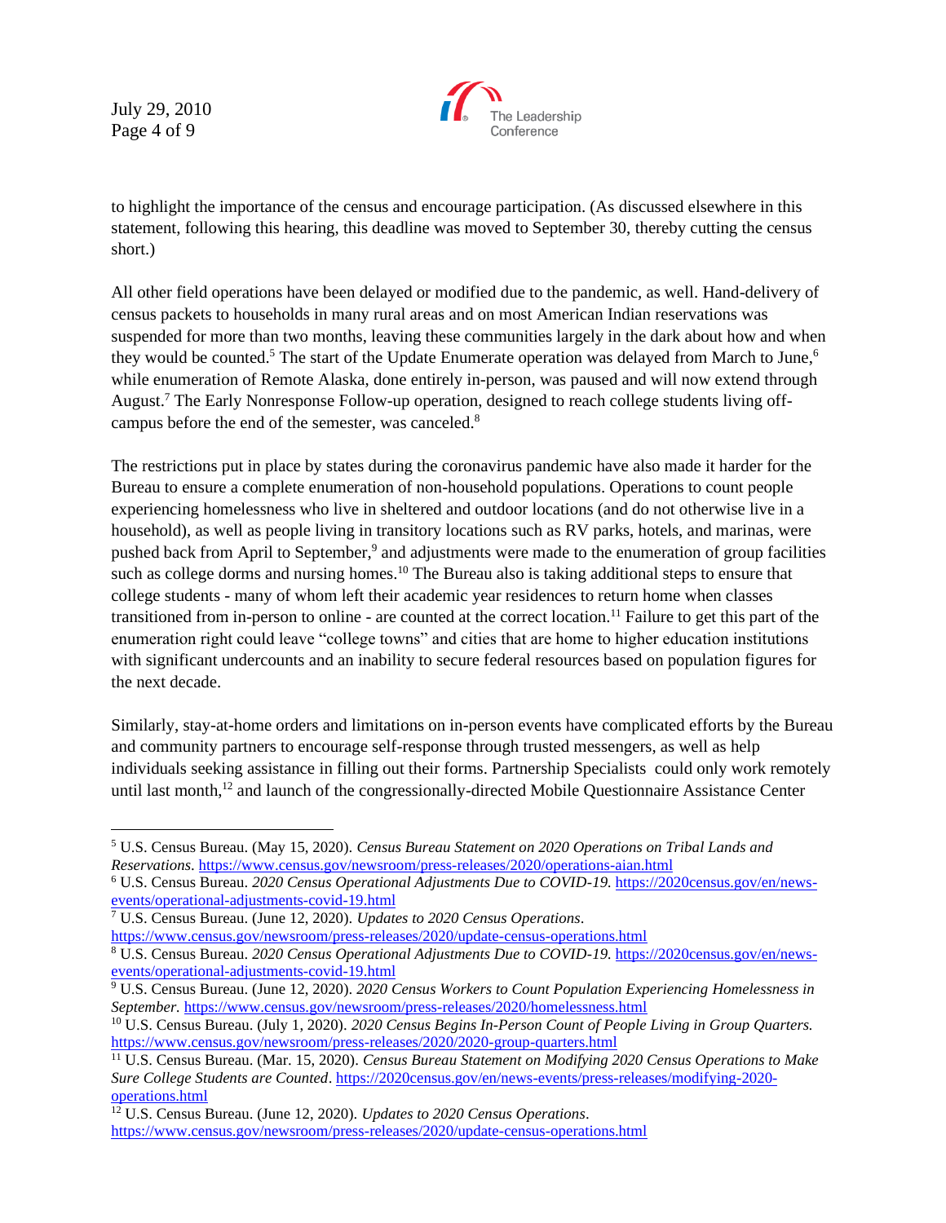July 29, 2010 Page 4 of 9



to highlight the importance of the census and encourage participation. (As discussed elsewhere in this statement, following this hearing, this deadline was moved to September 30, thereby cutting the census short.)

All other field operations have been delayed or modified due to the pandemic, as well. Hand-delivery of census packets to households in many rural areas and on most American Indian reservations was suspended for more than two months, leaving these communities largely in the dark about how and when they would be counted.<sup>5</sup> The start of the Update Enumerate operation was delayed from March to June,<sup>6</sup> while enumeration of Remote Alaska, done entirely in-person, was paused and will now extend through August.<sup>7</sup> The Early Nonresponse Follow-up operation, designed to reach college students living offcampus before the end of the semester, was canceled.<sup>8</sup>

The restrictions put in place by states during the coronavirus pandemic have also made it harder for the Bureau to ensure a complete enumeration of non-household populations. Operations to count people experiencing homelessness who live in sheltered and outdoor locations (and do not otherwise live in a household), as well as people living in transitory locations such as RV parks, hotels, and marinas, were pushed back from April to September,<sup>9</sup> and adjustments were made to the enumeration of group facilities such as college dorms and nursing homes.<sup>10</sup> The Bureau also is taking additional steps to ensure that college students - many of whom left their academic year residences to return home when classes transitioned from in-person to online - are counted at the correct location.<sup>11</sup> Failure to get this part of the enumeration right could leave "college towns" and cities that are home to higher education institutions with significant undercounts and an inability to secure federal resources based on population figures for the next decade.

Similarly, stay-at-home orders and limitations on in-person events have complicated efforts by the Bureau and community partners to encourage self-response through trusted messengers, as well as help individuals seeking assistance in filling out their forms. Partnership Specialists could only work remotely until last month,<sup>12</sup> and launch of the congressionally-directed Mobile Questionnaire Assistance Center

<sup>5</sup> U.S. Census Bureau. (May 15, 2020). *Census Bureau Statement on 2020 Operations on Tribal Lands and Reservations*[. https://www.census.gov/newsroom/press-releases/2020/operations-aian.html](https://www.census.gov/newsroom/press-releases/2020/operations-aian.html)

<sup>6</sup> U.S. Census Bureau. *2020 Census Operational Adjustments Due to COVID-19.* [https://2020census.gov/en/news](https://2020census.gov/en/news-events/operational-adjustments-covid-19.html)[events/operational-adjustments-covid-19.html](https://2020census.gov/en/news-events/operational-adjustments-covid-19.html)

<sup>7</sup> U.S. Census Bureau. (June 12, 2020). *Updates to 2020 Census Operations*.

<https://www.census.gov/newsroom/press-releases/2020/update-census-operations.html>

<sup>8</sup> U.S. Census Bureau. *2020 Census Operational Adjustments Due to COVID-19.* [https://2020census.gov/en/news](https://2020census.gov/en/news-events/operational-adjustments-covid-19.html)[events/operational-adjustments-covid-19.html](https://2020census.gov/en/news-events/operational-adjustments-covid-19.html)

<sup>9</sup> U.S. Census Bureau. (June 12, 2020). *2020 Census Workers to Count Population Experiencing Homelessness in September.* <https://www.census.gov/newsroom/press-releases/2020/homelessness.html>

<sup>10</sup> U.S. Census Bureau. (July 1, 2020). *2020 Census Begins In-Person Count of People Living in Group Quarters.* <https://www.census.gov/newsroom/press-releases/2020/2020-group-quarters.html>

<sup>11</sup> U.S. Census Bureau. (Mar. 15, 2020). *Census Bureau Statement on Modifying 2020 Census Operations to Make Sure College Students are Counted*[. https://2020census.gov/en/news-events/press-releases/modifying-2020](https://2020census.gov/en/news-events/press-releases/modifying-2020-operations.html) [operations.html](https://2020census.gov/en/news-events/press-releases/modifying-2020-operations.html)

<sup>12</sup> U.S. Census Bureau. (June 12, 2020). *Updates to 2020 Census Operations*. <https://www.census.gov/newsroom/press-releases/2020/update-census-operations.html>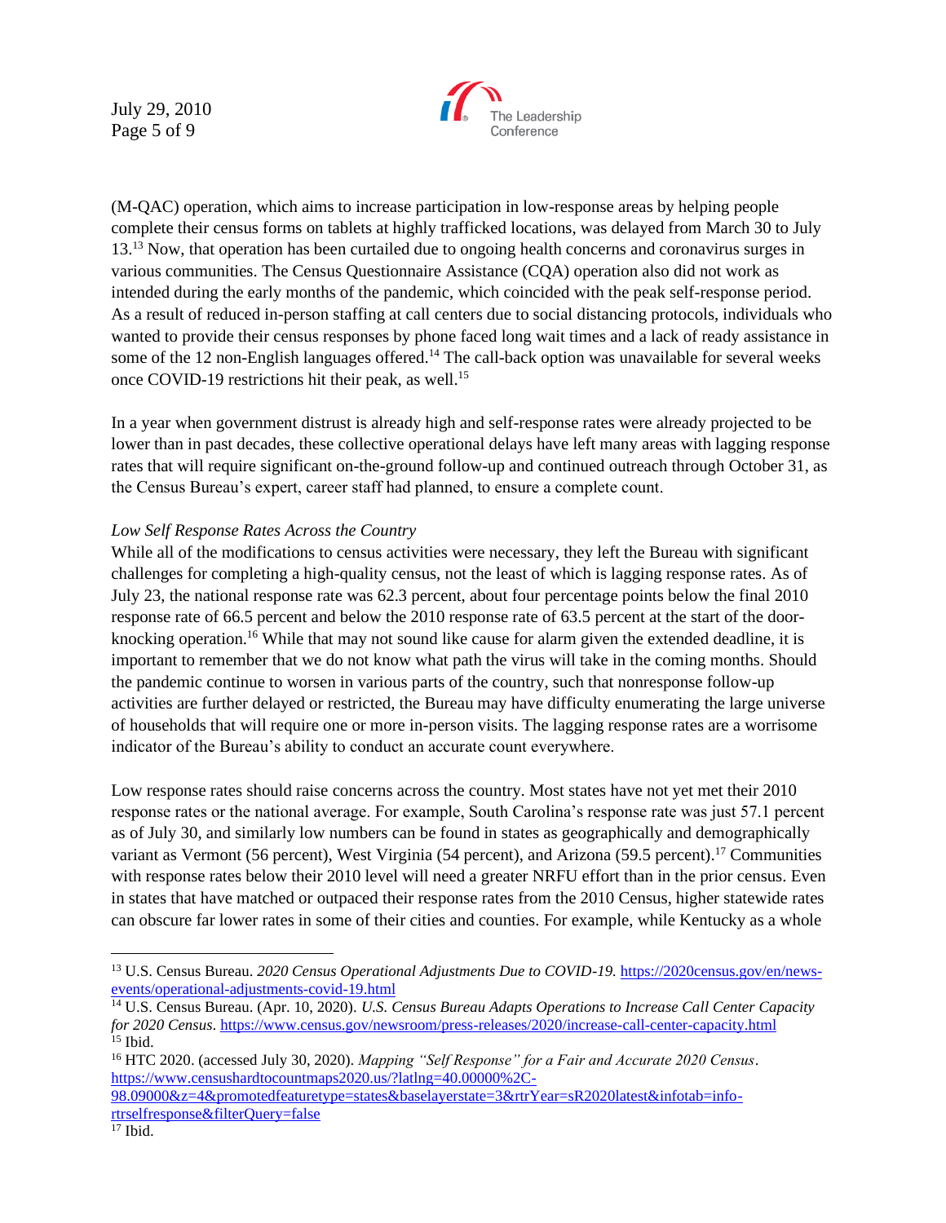July 29, 2010 Page 5 of 9



(M-QAC) operation, which aims to increase participation in low-response areas by helping people complete their census forms on tablets at highly trafficked locations, was delayed from March 30 to July 13.<sup>13</sup> Now, that operation has been curtailed due to ongoing health concerns and coronavirus surges in various communities. The Census Questionnaire Assistance (CQA) operation also did not work as intended during the early months of the pandemic, which coincided with the peak self-response period. As a result of reduced in-person staffing at call centers due to social distancing protocols, individuals who wanted to provide their census responses by phone faced long wait times and a lack of ready assistance in some of the 12 non-English languages offered.<sup>14</sup> The call-back option was unavailable for several weeks once COVID-19 restrictions hit their peak, as well.<sup>15</sup>

In a year when government distrust is already high and self-response rates were already projected to be lower than in past decades, these collective operational delays have left many areas with lagging response rates that will require significant on-the-ground follow-up and continued outreach through October 31, as the Census Bureau's expert, career staff had planned, to ensure a complete count.

## *Low Self Response Rates Across the Country*

While all of the modifications to census activities were necessary, they left the Bureau with significant challenges for completing a high-quality census, not the least of which is lagging response rates. As of July 23, the national response rate was 62.3 percent, about four percentage points below the final 2010 response rate of 66.5 percent and below the 2010 response rate of 63.5 percent at the start of the doorknocking operation.<sup>16</sup> While that may not sound like cause for alarm given the extended deadline, it is important to remember that we do not know what path the virus will take in the coming months. Should the pandemic continue to worsen in various parts of the country, such that nonresponse follow-up activities are further delayed or restricted, the Bureau may have difficulty enumerating the large universe of households that will require one or more in-person visits. The lagging response rates are a worrisome indicator of the Bureau's ability to conduct an accurate count everywhere.

Low response rates should raise concerns across the country. Most states have not yet met their 2010 response rates or the national average. For example, South Carolina's response rate was just 57.1 percent as of July 30, and similarly low numbers can be found in states as geographically and demographically variant as Vermont (56 percent), West Virginia (54 percent), and Arizona (59.5 percent).<sup>17</sup> Communities with response rates below their 2010 level will need a greater NRFU effort than in the prior census. Even in states that have matched or outpaced their response rates from the 2010 Census, higher statewide rates can obscure far lower rates in some of their cities and counties. For example, while Kentucky as a whole

<sup>&</sup>lt;sup>13</sup> U.S. Census Bureau. *2020 Census Operational Adjustments Due to COVID-19.* [https://2020census.gov/en/news](https://2020census.gov/en/news-events/operational-adjustments-covid-19.html)[events/operational-adjustments-covid-19.html](https://2020census.gov/en/news-events/operational-adjustments-covid-19.html)

<sup>14</sup> U.S. Census Bureau. (Apr. 10, 2020). *U.S. Census Bureau Adapts Operations to Increase Call Center Capacity for 2020 Census*[. https://www.census.gov/newsroom/press-releases/2020/increase-call-center-capacity.html](https://www.census.gov/newsroom/press-releases/2020/increase-call-center-capacity.html) <sup>15</sup> Ibid.

<sup>16</sup> HTC 2020. (accessed July 30, 2020). *Mapping "Self Response" for a Fair and Accurate 2020 Census*. [https://www.censushardtocountmaps2020.us/?latlng=40.00000%2C-](https://www.censushardtocountmaps2020.us/?latlng=40.00000%2C-98.09000&z=4&promotedfeaturetype=states&baselayerstate=3&rtrYear=sR2020latest&infotab=info-rtrselfresponse&filterQuery=false)

[<sup>98.09000&</sup>amp;z=4&promotedfeaturetype=states&baselayerstate=3&rtrYear=sR2020latest&infotab=info](https://www.censushardtocountmaps2020.us/?latlng=40.00000%2C-98.09000&z=4&promotedfeaturetype=states&baselayerstate=3&rtrYear=sR2020latest&infotab=info-rtrselfresponse&filterQuery=false)[rtrselfresponse&filterQuery=false](https://www.censushardtocountmaps2020.us/?latlng=40.00000%2C-98.09000&z=4&promotedfeaturetype=states&baselayerstate=3&rtrYear=sR2020latest&infotab=info-rtrselfresponse&filterQuery=false)

<sup>17</sup> Ibid.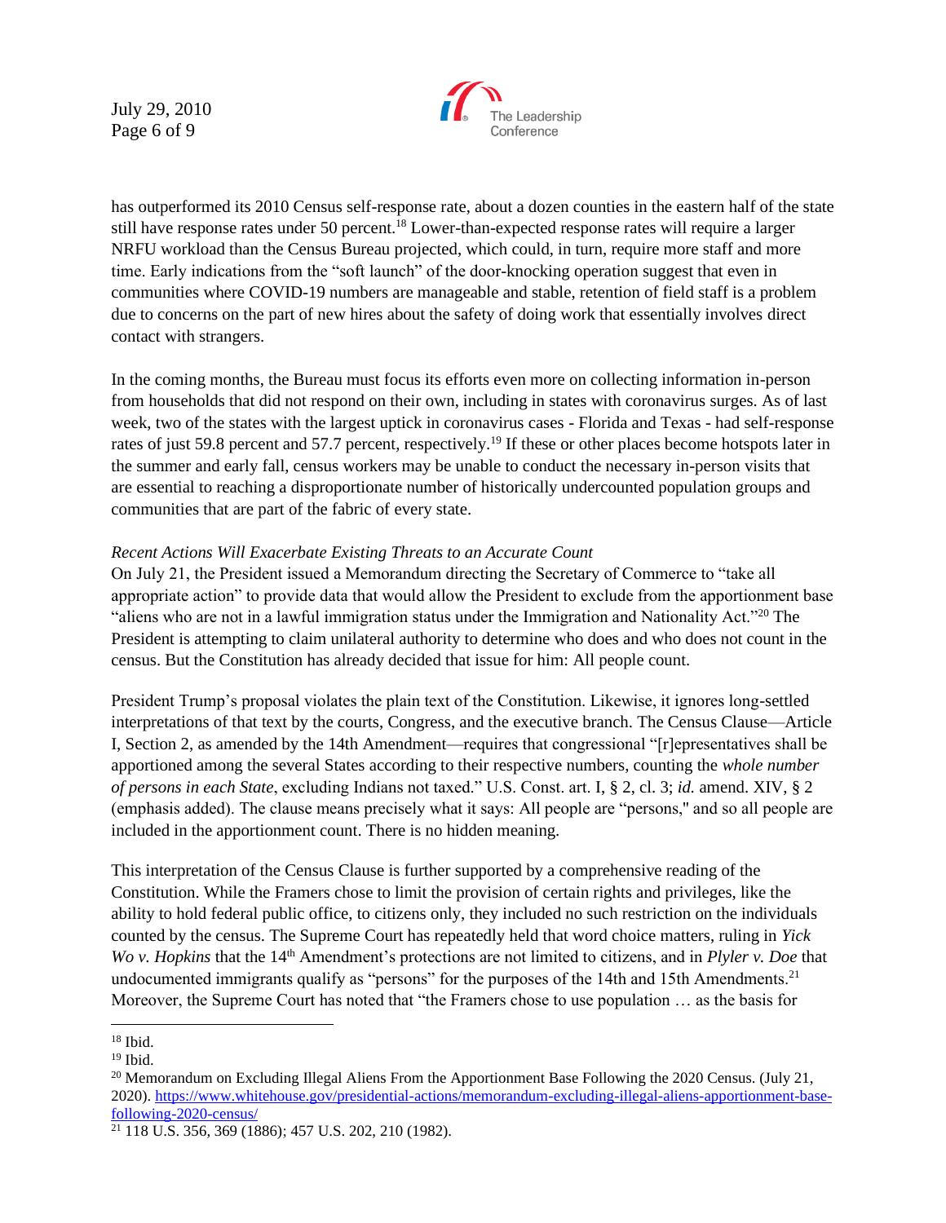July 29, 2010 Page 6 of 9



has outperformed its 2010 Census self-response rate, about a dozen counties in the eastern half of the state still have response rates under 50 percent.<sup>18</sup> Lower-than-expected response rates will require a larger NRFU workload than the Census Bureau projected, which could, in turn, require more staff and more time. Early indications from the "soft launch" of the door-knocking operation suggest that even in communities where COVID-19 numbers are manageable and stable, retention of field staff is a problem due to concerns on the part of new hires about the safety of doing work that essentially involves direct contact with strangers.

In the coming months, the Bureau must focus its efforts even more on collecting information in-person from households that did not respond on their own, including in states with coronavirus surges. As of last week, two of the states with the largest uptick in coronavirus cases - Florida and Texas - had self-response rates of just 59.8 percent and 57.7 percent, respectively.<sup>19</sup> If these or other places become hotspots later in the summer and early fall, census workers may be unable to conduct the necessary in-person visits that are essential to reaching a disproportionate number of historically undercounted population groups and communities that are part of the fabric of every state.

### *Recent Actions Will Exacerbate Existing Threats to an Accurate Count*

On July 21, the President issued a Memorandum directing the Secretary of Commerce to "take all appropriate action" to provide data that would allow the President to exclude from the apportionment base "aliens who are not in a lawful immigration status under the Immigration and Nationality Act."<sup>20</sup> The President is attempting to claim unilateral authority to determine who does and who does not count in the census. But the Constitution has already decided that issue for him: All people count.

President Trump's proposal violates the plain text of the Constitution. Likewise, it ignores long-settled interpretations of that text by the courts, Congress, and the executive branch. The Census Clause—Article I, Section 2, as amended by the 14th Amendment—requires that congressional "[r]epresentatives shall be apportioned among the several States according to their respective numbers, counting the *whole number of persons in each State*, excluding Indians not taxed." U.S. Const. art. I, § 2, cl. 3; *id.* amend. XIV, § 2 (emphasis added). The clause means precisely what it says: All people are "persons,'' and so all people are included in the apportionment count. There is no hidden meaning.

This interpretation of the Census Clause is further supported by a comprehensive reading of the Constitution. While the Framers chose to limit the provision of certain rights and privileges, like the ability to hold federal public office, to citizens only, they included no such restriction on the individuals counted by the census. The Supreme Court has repeatedly held that word choice matters, ruling in *Yick Wo v. Hopkins* that the 14<sup>th</sup> Amendment's protections are not limited to citizens, and in *Plyler v. Doe* that undocumented immigrants qualify as "persons" for the purposes of the 14th and 15th Amendments.<sup>21</sup> Moreover, the Supreme Court has noted that "the Framers chose to use population … as the basis for

<sup>18</sup> Ibid.

 $19$  Ibid.

<sup>&</sup>lt;sup>20</sup> Memorandum on Excluding Illegal Aliens From the Apportionment Base Following the 2020 Census. (July 21, 2020). [https://www.whitehouse.gov/presidential-actions/memorandum-excluding-illegal-aliens-apportionment-base](https://www.whitehouse.gov/presidential-actions/memorandum-excluding-illegal-aliens-apportionment-base-following-2020-census/)[following-2020-census/](https://www.whitehouse.gov/presidential-actions/memorandum-excluding-illegal-aliens-apportionment-base-following-2020-census/)

<sup>21</sup> 118 U.S. 356, 369 (1886); 457 U.S. 202, 210 (1982).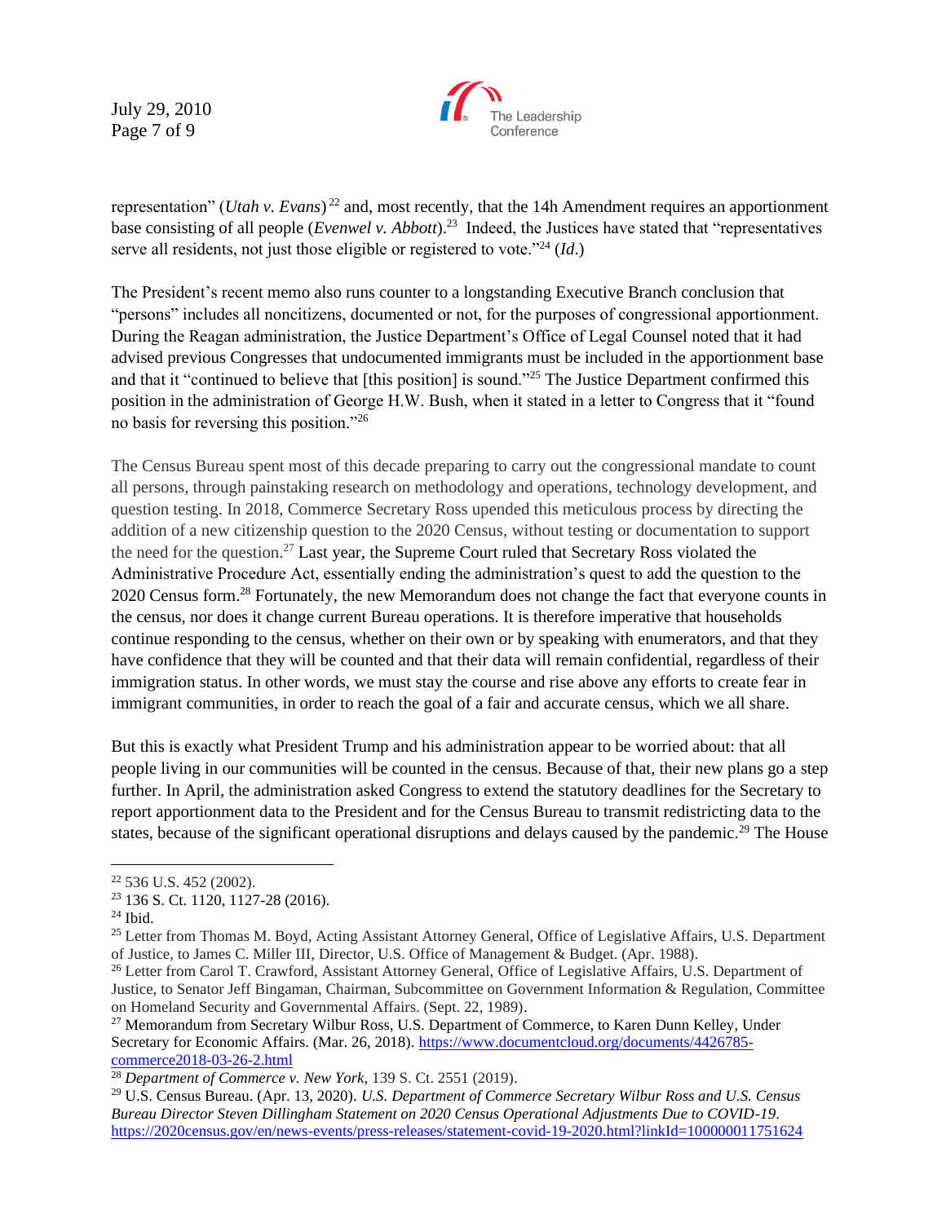July 29, 2010 Page 7 of 9



representation" (*Utah v. Evans*) <sup>22</sup> and, most recently, that the 14h Amendment requires an apportionment base consisting of all people (*Evenwel v. Abbott*).<sup>23</sup> Indeed, the Justices have stated that "representatives" serve all residents, not just those eligible or registered to vote."<sup>24</sup> (*Id*.)

The President's recent memo also runs counter to a longstanding Executive Branch conclusion that "persons" includes all noncitizens, documented or not, for the purposes of congressional apportionment. During the Reagan administration, the Justice Department's Office of Legal Counsel noted that it had advised previous Congresses that undocumented immigrants must be included in the apportionment base and that it "continued to believe that [this position] is sound."<sup>25</sup> The Justice Department confirmed this position in the administration of George H.W. Bush, when it stated in a letter to Congress that it "found no basis for reversing this position."<sup>26</sup>

The Census Bureau spent most of this decade preparing to carry out the congressional mandate to count all persons, through painstaking research on methodology and operations, technology development, and question testing. In 2018, Commerce Secretary Ross upended this meticulous process by directing the addition of a new citizenship question to the 2020 Census, without testing or documentation to support the need for the question.<sup>27</sup> Last year, the Supreme Court ruled that Secretary Ross violated the Administrative Procedure Act, essentially ending the administration's quest to add the question to the 2020 Census form.<sup>28</sup> Fortunately, the new Memorandum does not change the fact that everyone counts in the census, nor does it change current Bureau operations. It is therefore imperative that households continue responding to the census, whether on their own or by speaking with enumerators, and that they have confidence that they will be counted and that their data will remain confidential, regardless of their immigration status. In other words, we must stay the course and rise above any efforts to create fear in immigrant communities, in order to reach the goal of a fair and accurate census, which we all share.

But this is exactly what President Trump and his administration appear to be worried about: that all people living in our communities will be counted in the census. Because of that, their new plans go a step further. In April, the administration asked Congress to extend the statutory deadlines for the Secretary to report apportionment data to the President and for the Census Bureau to transmit redistricting data to the states, because of the significant operational disruptions and delays caused by the pandemic.<sup>29</sup> The House

<sup>22</sup> 536 U.S. 452 (2002).

<sup>23</sup> 136 S. Ct. 1120, 1127-28 (2016).

 $24$  Ibid.

<sup>&</sup>lt;sup>25</sup> Letter from Thomas M. Boyd, Acting Assistant Attorney General, Office of Legislative Affairs, U.S. Department of Justice, to James C. Miller III, Director, U.S. Office of Management & Budget. (Apr. 1988).

<sup>&</sup>lt;sup>26</sup> Letter from Carol T. Crawford, Assistant Attorney General, Office of Legislative Affairs, U.S. Department of Justice, to Senator Jeff Bingaman, Chairman, Subcommittee on Government Information & Regulation, Committee on Homeland Security and Governmental Affairs. (Sept. 22, 1989).

<sup>&</sup>lt;sup>27</sup> Memorandum from Secretary Wilbur Ross, U.S. Department of Commerce, to Karen Dunn Kelley, Under Secretary for Economic Affairs. (Mar. 26, 2018). [https://www.documentcloud.org/documents/4426785](https://www.documentcloud.org/documents/4426785-commerce2018-03-26-2.html) [commerce2018-03-26-2.html](https://www.documentcloud.org/documents/4426785-commerce2018-03-26-2.html)

<sup>28</sup> *Department of Commerce v. New York*, 139 S. Ct. 2551 (2019).

<sup>29</sup> U.S. Census Bureau. (Apr. 13, 2020). *U.S. Department of Commerce Secretary Wilbur Ross and U.S. Census Bureau Director Steven Dillingham Statement on 2020 Census Operational Adjustments Due to COVID-19*. <https://2020census.gov/en/news-events/press-releases/statement-covid-19-2020.html?linkId=100000011751624>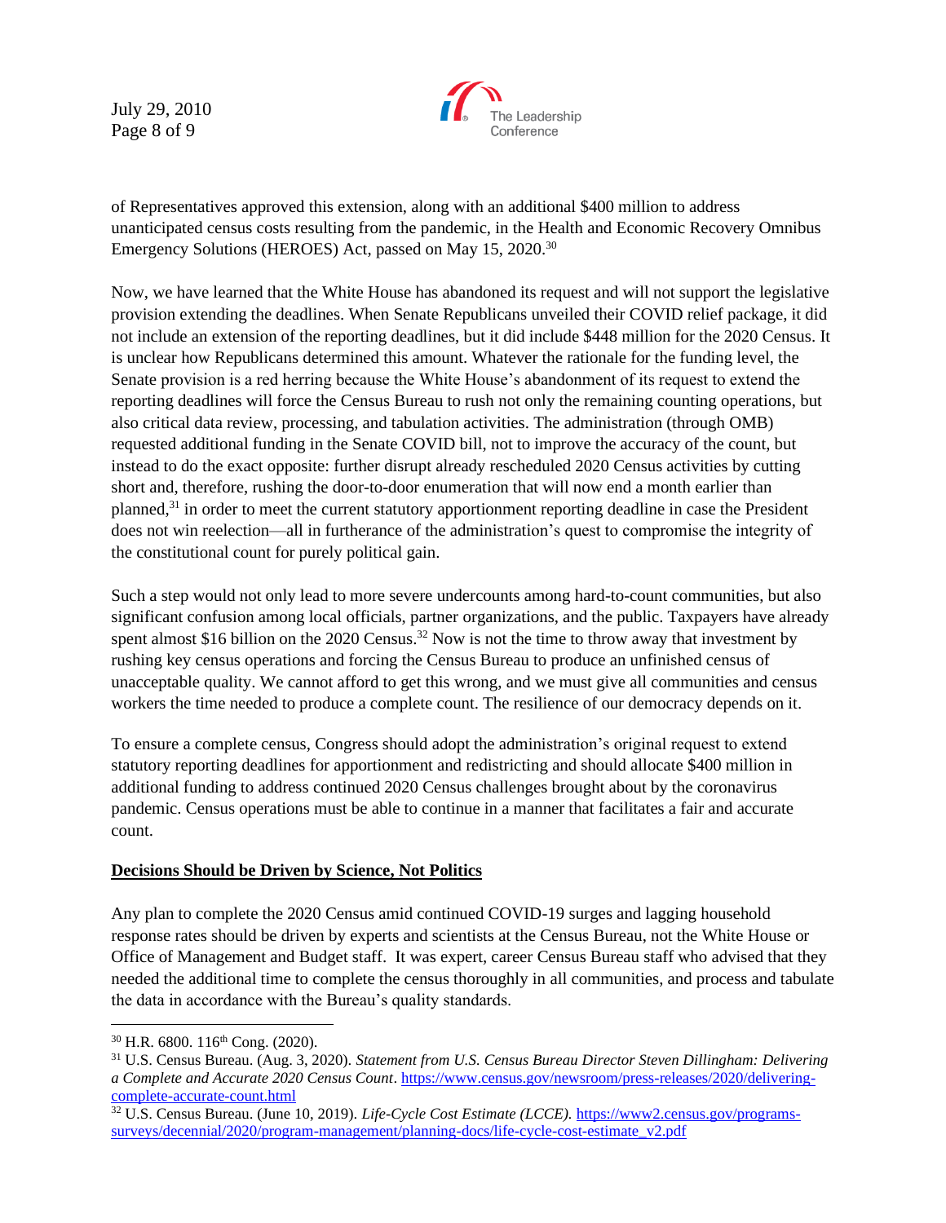July 29, 2010 Page 8 of 9



of Representatives approved this extension, along with an additional \$400 million to address unanticipated census costs resulting from the pandemic, in the Health and Economic Recovery Omnibus Emergency Solutions (HEROES) Act, passed on May 15, 2020.<sup>30</sup>

Now, we have learned that the White House has abandoned its request and will not support the legislative provision extending the deadlines. When Senate Republicans unveiled their COVID relief package, it did not include an extension of the reporting deadlines, but it did include \$448 million for the 2020 Census. It is unclear how Republicans determined this amount. Whatever the rationale for the funding level, the Senate provision is a red herring because the White House's abandonment of its request to extend the reporting deadlines will force the Census Bureau to rush not only the remaining counting operations, but also critical data review, processing, and tabulation activities. The administration (through OMB) requested additional funding in the Senate COVID bill, not to improve the accuracy of the count, but instead to do the exact opposite: further disrupt already rescheduled 2020 Census activities by cutting short and, therefore, rushing the door-to-door enumeration that will now end a month earlier than planned,<sup>31</sup> in order to meet the current statutory apportionment reporting deadline in case the President does not win reelection—all in furtherance of the administration's quest to compromise the integrity of the constitutional count for purely political gain.

Such a step would not only lead to more severe undercounts among hard-to-count communities, but also significant confusion among local officials, partner organizations, and the public. Taxpayers have already spent almost \$16 billion on the 2020 Census.<sup>32</sup> Now is not the time to throw away that investment by rushing key census operations and forcing the Census Bureau to produce an unfinished census of unacceptable quality. We cannot afford to get this wrong, and we must give all communities and census workers the time needed to produce a complete count. The resilience of our democracy depends on it.

To ensure a complete census, Congress should adopt the administration's original request to extend statutory reporting deadlines for apportionment and redistricting and should allocate \$400 million in additional funding to address continued 2020 Census challenges brought about by the coronavirus pandemic. Census operations must be able to continue in a manner that facilitates a fair and accurate count.

## **Decisions Should be Driven by Science, Not Politics**

Any plan to complete the 2020 Census amid continued COVID-19 surges and lagging household response rates should be driven by experts and scientists at the Census Bureau, not the White House or Office of Management and Budget staff. It was expert, career Census Bureau staff who advised that they needed the additional time to complete the census thoroughly in all communities, and process and tabulate the data in accordance with the Bureau's quality standards.

 $30$  H.R. 6800. 116<sup>th</sup> Cong. (2020).

<sup>31</sup> U.S. Census Bureau. (Aug. 3, 2020). *Statement from U.S. Census Bureau Director Steven Dillingham: Delivering a Complete and Accurate 2020 Census Count*. [https://www.census.gov/newsroom/press-releases/2020/delivering](https://www.census.gov/newsroom/press-releases/2020/delivering-complete-accurate-count.html)[complete-accurate-count.html](https://www.census.gov/newsroom/press-releases/2020/delivering-complete-accurate-count.html)

<sup>&</sup>lt;sup>32</sup> U.S. Census Bureau. (June 10, 2019). *Life-Cycle Cost Estimate (LCCE)*. [https://www2.census.gov/programs](https://www2.census.gov/programs-surveys/decennial/2020/program-management/planning-docs/life-cycle-cost-estimate_v2.pdf)[surveys/decennial/2020/program-management/planning-docs/life-cycle-cost-estimate\\_v2.pdf](https://www2.census.gov/programs-surveys/decennial/2020/program-management/planning-docs/life-cycle-cost-estimate_v2.pdf)